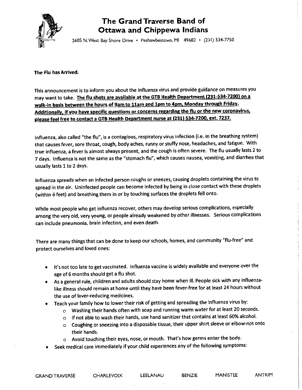

## The Grand Traverse Band of **Ottawa and Chippewa Indians**

2605 N. West Bay Shore Drive . Peshawbestown, MI 49682 . (231) 534-7750

The Flu has Arrived.

This announcement is to inform you about the influenza virus and provide guidance on measures you may want to take. The flu shots are available at the GTB Health Department (231-534-7200) on a walk-in basis between the hours of 9am to 11am and 1pm to 4pm, Monday through Friday. Additionally, if you have specific questions or concerns regarding the flu or the new coronavirus, please feel free to contact a GTB Health Department nurse at (231) 534-7200, ext. 7237.

Influenza, also called "the flu", is a contagious, respiratory virus infection (i.e. in the breathing system) that causes fever, sore throat, cough, body aches, runny or stuffy nose, headaches, and fatigue. With true influenza, a fever is almost always present, and the cough is often severe. The flu usually lasts 2 to 7 days. Influenza is not the same as the "stomach flu", which causes nausea, vomiting, and diarrhea that usually lasts 1 to 2 days.

Influenza spreads when an infected person coughs or sneezes, causing droplets containing the virus to spread in the air. Uninfected people can become infected by being in close contact with these droplets (within 6 feet) and breathing them in or by touching surfaces the droplets fell onto.

While most people who get influenza recover, others may develop serious complications, especially among the very old, very young, or people already weakened by other illnesses. Serious complications can include pneumonia, brain infection, and even death.

There are many things that can be done to keep our schools, homes, and community "flu-free" and protect ourselves and loved ones:

- . It's not too late to get vaccinated. Influenza vaccine is widely available and everyone over the age of 6 months should get a flu shot.
- As a general rule, children and adults should stay home when ill. People sick with any influenzalike illness should remain at home until they have been fever-free for at least 24 hours without the use of fever-reducing medicines.
- Teach your family how to lower their risk of getting and spreading the influenza virus by:
	- O Washing their hands often with soap and running warm water for at least 20 seconds.
	- o If not able to wash their hands, use hand sanitizer that contains at least 60% alcohol.
	- o Coughing or sneezing into a disposable tissue, their upper shirt sleeve or elbow-not onto their hands.
	- o Avoid touching their eyes, nose, or mouth. That's how germs enter the body.
- Seek medical care immediately if your child experiences any of the following symptoms:

**CHARLEVOIX** 

LEELANAU

BENZIE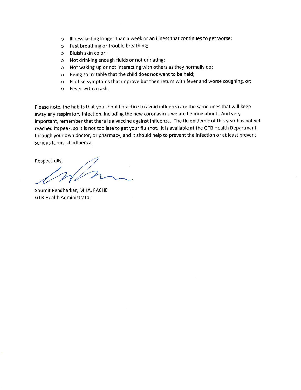- o Illness lasting longer than a week or an illness that continues to get worse;
- o Fast breathing or trouble breathing;
- o Bluish skin color;
- o Not drinking enough fluids or not urinating;
- o Not waking up or not interacting with others as they normally do;
- o Being so irritable that the child does not want to be held;
- o Flu-like symptoms that improve but then return with fever and worse coughing, or;
- $\circ$  Fever with a rash.

Please note, the habits that you should practice to avoid influenza are the same ones that will keep away any respiratory infection, including the new coronavirus we are hearing about. And very important, remember that there is a vaccine against influenza. The flu epidemic of this year has not yet reached its peak, so it is not too late to get your flu shot. It is available at the GTB Health Department, through your own doctor, or pharmacy, and it should help to prevent the infection or at least prevent serious forms of influenza.

Respectfully,

Soumit Pendharkar, MHA, FACHE **GTB Health Administrator**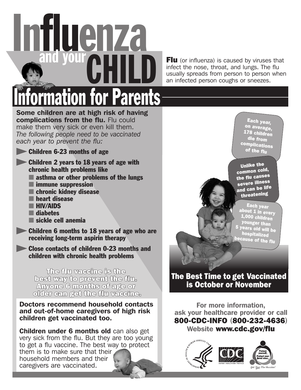

**Flu** (or influenza) is caused by viruses that infect the nose, throat, and lungs. The flu usually spreads from person to person when an infected person coughs or sneezes.

# Some children are at high risk of having complications from the flu. Flu could **for Parents**

make them very sick or even kill them. *The following people need to be vaccinated each year to prevent the flu:*

**Children 6-23 months of age** 

- Children 2 years to 18 years of age with chronic health problems like
	- asthma or other problems of the lungs
	- immune suppression
	- chronic kidney disease
	- heart disease
	- HIV/AIDS
	- diabetes
	- sickle cell anemia
- **Children 6 months to 18 years of age who are** receiving long-term aspirin therapy
- **Close contacts of children 0-23 months and** children with chronic health problems

The film waesine is the best way to prevent the flu. Anyone 6 months of age or older can get the flu vacelne.

Doctors recommend household contacts and out-of-home caregivers of high risk children get vaccinated too.

Children under 6 months old can also get very sick from the flu. But they are too young to get a flu vaccine. The best way to protect them is to make sure that their household members and their caregivers are vaccinated.

Each year, on average, 178 children die from complications of the flu

Unlike the common cold, the flu causes severe illness and can be life threatening

Each year about 1 in every  $1,000$  children younger than 5 years old will be hospitalized because of the flu

### The Best Time to get Vaccinated is October or November

For more information, ask your healthcare provider or call 800-CDC-INFO (800-232-4636) Website www.cdc.gov/flu

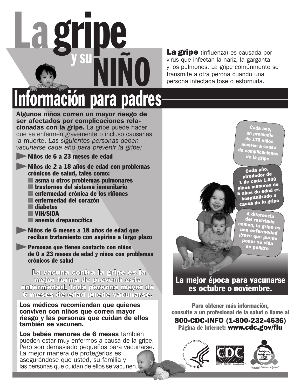

virus que infectan la nariz, la garganta y los pulmones. La gripe comúnmente se transmite a otra perona cuando una persona infectada tose o estornuda.

# *<u>Iormación</u> para padres*

Algunos niños corren un mayor riesgo de ser afectados por complicaciones relacionadas con la gripe. La gripe puede hacer que se enfermen gravemente o incluso causarles la muerte. *Las siguientes personas deben vacunarse cada año para prevenir la gripe:*

Niños de 6 a 23 meses de edad

- Niños de 2 a 18 años de edad con problemas crónicos de salud, tales como:
	- asma u otros problemas pulmonares
	- trastornos del sistema inmunitario
	- enfermedad crónica de los riñones
	- enfermedad del corazón
	- diabetes
	- VIH/SIDA
	- anemia drepanocítica
- Niños de 6 meses a 18 años de edad que reciban tratamiento con aspirina a largo plazo

Personas que tienen contacto con niños de 0 a 23 meses de edad y niños con problemas crónicos de salud

La vacuna contra la gripe es la mejor forma de prevenir esta enfermedad. Toda persona mayor de 6 meses de edad puede vacunarse.

#### Los médicos recomiendan que quienes conviven con niños que corren mayor riesgo y las personas que cuidan de ellos también se vacunen.

Los bebés menores de 6 meses también pueden estar muy enfermos a causa de la gripe. Pero son demasiado pequeños para vacunarse. La mejor manera de protegerlos es asegurándose que usted, su familia y las personas que cuidan de ellos se vacunen.

Cada año, un promedio de 178 niños mueren a causa de complicaciones de la gripe

Cada año, alrededor de 1 de cada 1,000 niños menores de 5 años de edad es hospitalizado a causa de la gripe

A diferencia del resfriado común, la gripe es una enfermedad grave que puede poner su vida en peligro

La mejor época para vacunarse es octubre o noviembre.

Para obtener más información, consulte a un profesional de la salud o llame al 800-CDC-INFO (1-800-232-4636) Página de Internet: www.cdc.gov/flu